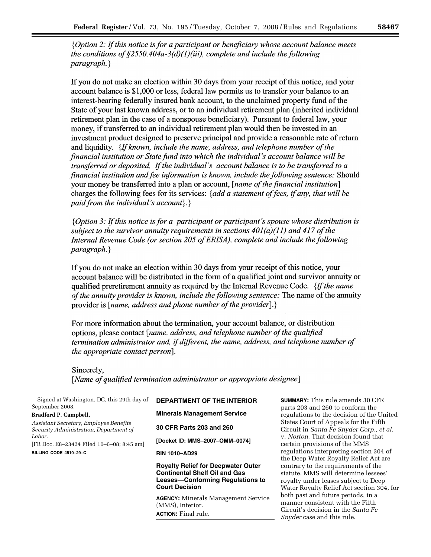{Option 2: If this notice is for a participant or beneficiary whose account balance meets the conditions of  $\S 2550.404a-3(d)(1)(iii)$ , complete and include the following  $paragnh.$ 

If you do not make an election within 30 days from your receipt of this notice, and your account balance is \$1,000 or less, federal law permits us to transfer your balance to an interest-bearing federally insured bank account, to the unclaimed property fund of the State of your last known address, or to an individual retirement plan (inherited individual retirement plan in the case of a nonspouse beneficiary). Pursuant to federal law, your money, if transferred to an individual retirement plan would then be invested in an investment product designed to preserve principal and provide a reasonable rate of return and liquidity. {If known, include the name, address, and telephone number of the financial institution or State fund into which the individual's account balance will be transferred or deposited. If the individual's account balance is to be transferred to a financial institution and fee information is known, include the following sentence: Should your money be transferred into a plan or account, [*name of the financial institution*] charges the following fees for its services: {add a statement of fees, if any, that will be paid from the individual's account $\{\cdot\}$ 

{*Option 3: If this notice is for a participant or participant's spouse whose distribution is* subject to the survivor annuity requirements in sections  $40I(a)(11)$  and 417 of the Internal Revenue Code (or section 205 of ERISA), complete and include the following  $paragnah.$ 

If you do not make an election within 30 days from your receipt of this notice, your account balance will be distributed in the form of a qualified joint and survivor annuity or qualified preretirement annuity as required by the Internal Revenue Code. {If the name of the annuity provider is known, include the following sentence: The name of the annuity provider is [*name, address and phone number of the provider*].}

For more information about the termination, your account balance, or distribution options, please contact [name, address, and telephone number of the qualified termination administrator and, if different, the name, address, and telephone number of the appropriate contact person].

Sincerely, [Name of qualified termination administrator or appropriate designee]

| Signed at Washington, DC, this 29th day of<br>September 2008.<br><b>Bradford P. Campbell,</b> | <b>DEPARTMENT OF THE INTERIOR</b><br><b>Minerals Management Service</b>                                                                        | <b>SUMMAR</b><br>parts 20<br>regulation    |
|-----------------------------------------------------------------------------------------------|------------------------------------------------------------------------------------------------------------------------------------------------|--------------------------------------------|
| Assistant Secretary, Employee Benefits<br>Security Administration, Department of              | 30 CFR Parts 203 and 260                                                                                                                       | States C<br>Circuit i                      |
| Labor.<br>[FR Doc. E8-23424 Filed 10-6-08; 8:45 am]                                           | [Docket ID: MMS-2007-OMM-0074]                                                                                                                 | v. Norto<br>certain p                      |
| BILLING CODE 4510-29-C                                                                        | <b>RIN 1010-AD29</b>                                                                                                                           | regulation<br>the Deep                     |
|                                                                                               | <b>Royalty Relief for Deepwater Outer</b><br><b>Continental Shelf Oil and Gas</b><br>Leases-Conforming Regulations to<br><b>Court Decision</b> | contrary<br>statute.<br>royalty<br>Water R |
|                                                                                               | <b>AGENCY:</b> Minerals Management Service<br>(MMS), Interior.<br><b>ACTION:</b> Final rule.                                                   | both pas<br>manner<br>Circuit's            |

**Y:** This rule amends 30 CFR 3 and 260 to conform the ons to the decision of the United ourt of Appeals for the Fifth Circuit in *Santa Fe Snyder Corp., et al. n.* That decision found that provisions of the MMS ons interpreting section 304 of p Water Royalty Relief Act are to the requirements of the MMS will determine lessees' under leases subject to Deep oyalty Relief Act section 304, for st and future periods, in a consistent with the Fifth Circuit's decision in the *Santa Fe Snyder* case and this rule.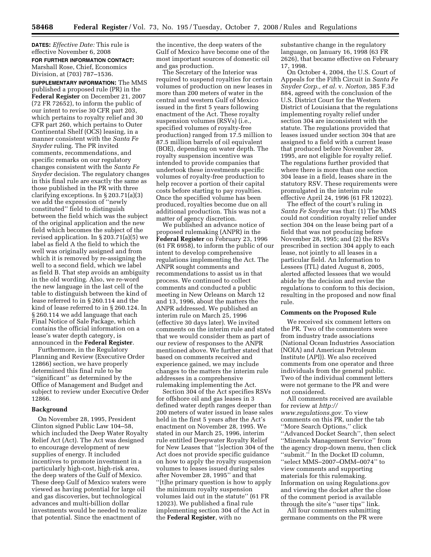**DATES:** *Effective Date:* This rule is effective November 6, 2008 **FOR FURTHER INFORMATION CONTACT:**  Marshall Rose, Chief, Economics Division, at (703) 787–1536.

**SUPPLEMENTARY INFORMATION:** The MMS published a proposed rule (PR) in the **Federal Register** on December 21, 2007 (72 FR 72652), to inform the public of our intent to revise 30 CFR part 203, which pertains to royalty relief and 30 CFR part 260, which pertains to Outer Continental Shelf (OCS) leasing, in a manner consistent with the *Santa Fe Snyder* ruling. The PR invited comments, recommendations, and specific remarks on our regulatory changes consistent with the *Santa Fe Snyder* decision. The regulatory changes in this final rule are exactly the same as those published in the PR with three clarifying exceptions. In § 203.71(a)(3) we add the expression of ''newly constituted'' field to distinguish between the field which was the subject of the original application and the new field which becomes the subject of the revised application. In § 203.71(a)(5) we label as field A the field to which the well was originally assigned and from which it is removed by re-assigning the well to a second field, which we label as field B. That step avoids an ambiguity in the old wording. Also, we re-word the new language in the last cell of the table to distinguish between the kind of lease referred to in § 260.114 and the kind of lease referred to in § 260.124. In § 260.114 we add language that each Final Notice of Sale Package, which contains the official information on a lease's water depth category, is announced in the **Federal Register**.

Furthermore, in the Regulatory Planning and Review (Executive Order 12866) section, we have properly determined this final rule to be ''significant'' as determined by the Office of Management and Budget and subject to review under Executive Order 12866.

# **Background**

On November 28, 1995, President Clinton signed Public Law 104–58, which included the Deep Water Royalty Relief Act (Act). The Act was designed to encourage development of new supplies of energy. It included incentives to promote investment in a particularly high-cost, high-risk area, the deep waters of the Gulf of Mexico. These deep Gulf of Mexico waters were viewed as having potential for large oil and gas discoveries, but technological advances and multi-billion dollar investments would be needed to realize that potential. Since the enactment of

the incentive, the deep waters of the Gulf of Mexico have become one of the most important sources of domestic oil and gas production.

The Secretary of the Interior was required to suspend royalties for certain volumes of production on new leases in more than 200 meters of water in the central and western Gulf of Mexico issued in the first 5 years following enactment of the Act. These royalty suspension volumes (RSVs) (i.e., specified volumes of royalty-free production) ranged from 17.5 million to 87.5 million barrels of oil equivalent (BOE), depending on water depth. The royalty suspension incentive was intended to provide companies that undertook these investments specific volumes of royalty-free production to help recover a portion of their capital costs before starting to pay royalties. Once the specified volume has been produced, royalties become due on all additional production. This was not a matter of agency discretion.

We published an advance notice of proposed rulemaking (ANPR) in the **Federal Register** on February 23, 1996 (61 FR 6958), to inform the public of our intent to develop comprehensive regulations implementing the Act. The ANPR sought comments and recommendations to assist us in that process. We continued to collect comments and conducted a public meeting in New Orleans on March 12 and 13, 1996, about the matters the ANPR addressed. We published an interim rule on March 25, 1996 (effective 30 days later). We invited comments on the interim rule and stated that we would consider them as part of our review of responses to the ANPR mentioned above. We further stated that based on comments received and experience gained, we may include changes to the matters the interim rule addresses in a comprehensive rulemaking implementing the Act.

Section 304 of the Act specifies RSVs for offshore oil and gas leases in 3 defined water depth ranges deeper than 200 meters of water issued in lease sales held in the first 5 years after the Act's enactment on November 28, 1995. We stated in our March 25, 1996, interim rule entitled Deepwater Royalty Relief for New Leases that ''[s]ection 304 of the Act does not provide specific guidance on how to apply the royalty suspension volumes to leases issued during sales after November 28, 1995'' and that ''[t]he primary question is how to apply the minimum royalty suspension volumes laid out in the statute'' (61 FR 12023). We published a final rule implementing section 304 of the Act in the **Federal Register**, with no

substantive change in the regulatory language, on January 16, 1998 (63 FR 2626), that became effective on February 17, 1998.

On October 4, 2004, the U.S. Court of Appeals for the Fifth Circuit in *Santa Fe Snyder Corp., et al.* v. *Norton,* 385 F.3d 884, agreed with the conclusion of the U.S. District Court for the Western District of Louisiana that the regulations implementing royalty relief under section 304 are inconsistent with the statute. The regulations provided that leases issued under section 304 that are assigned to a field with a current lease that produced before November 28, 1995, are not eligible for royalty relief. The regulations further provided that where there is more than one section 304 lease in a field, leases share in the statutory RSV. These requirements were promulgated in the interim rule effective April 24, 1996 (61 FR 12022).

The effect of the court's ruling in *Santa Fe Snyder* was that: (1) The MMS could not condition royalty relief under section 304 on the lease being part of a field that was not producing before November 28, 1995; and (2) the RSVs prescribed in section 304 apply to each lease, not jointly to all leases in a particular field. An Information to Lessees (ITL) dated August 8, 2005, alerted affected lessees that we would abide by the decision and revise the regulations to conform to this decision, resulting in the proposed and now final rule.

#### **Comments on the Proposed Rule**

We received six comment letters on the PR. Two of the commenters were from industry trade associations (National Ocean Industries Association (NOIA) and American Petroleum Institute (API)). We also received comments from one operator and three individuals from the general public. Two of the individual comment letters were not germane to the PR and were not considered.

All comments received are available for review at *http:// www.regulations.gov.* To view comments on this PR, under the tab ''More Search Options,'' click "Advanced Docket Search", then select ''Minerals Management Service'' from the agency drop-down menu, then click ''submit.'' In the Docket ID column, ''select MMS–2007–OMM–0074'' to view comments and supporting materials for this rulemaking. Information on using Regulations.gov and viewing the docket after the close of the comment period is available through the site's ''user tips'' link.

All four commenters submitting germane comments on the PR were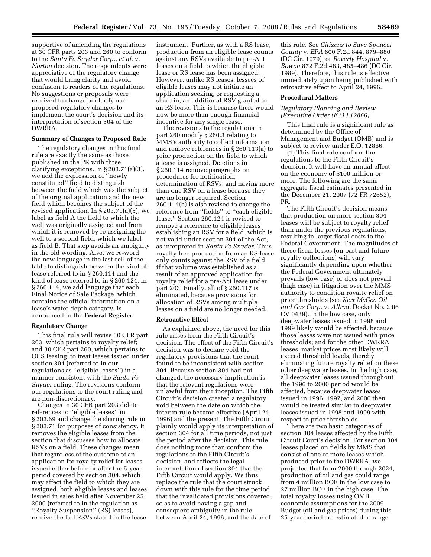supportive of amending the regulations at 30 CFR parts 203 and 260 to conform to the *Santa Fe Snyder Corp., et al.* v. *Norton* decision. The respondents were appreciative of the regulatory change that would bring clarity and avoid confusion to readers of the regulations. No suggestions or proposals were received to change or clarify our proposed regulatory changes to implement the court's decision and its interpretation of section 304 of the DWRRA.

# **Summary of Changes to Proposed Rule**

The regulatory changes in this final rule are exactly the same as those published in the PR with three clarifying exceptions. In § 203.71(a)(3), we add the expression of ''newly constituted'' field to distinguish between the field which was the subject of the original application and the new field which becomes the subject of the revised application. In § 203.71(a)(5), we label as field A the field to which the well was originally assigned and from which it is removed by re-assigning the well to a second field, which we label as field B. That step avoids an ambiguity in the old wording. Also, we re-word the new language in the last cell of the table to distinguish between the kind of lease referred to in § 260.114 and the kind of lease referred to in § 260.124. In § 260.114, we add language that each Final Notice of Sale Package, which contains the official information on a lease's water depth category, is announced in the **Federal Register**.

#### **Regulatory Change**

This final rule will revise 30 CFR part 203, which pertains to royalty relief; and 30 CFR part 260, which pertains to OCS leasing, to treat leases issued under section 304 (referred to in our regulations as ''eligible leases'') in a manner consistent with the *Santa Fe Snyder* ruling. The revisions conform our regulations to the court ruling and are non-discretionary.

Changes in 30 CFR part 203 delete references to ''eligible leases'' in § 203.69 and change the sharing rule in § 203.71 for purposes of consistency. It removes the eligible leases from the section that discusses how to allocate RSVs on a field. These changes mean that regardless of the outcome of an application for royalty relief for leases issued either before or after the 5-year period covered by section 304, which may affect the field to which they are assigned, both eligible leases and leases issued in sales held after November 25, 2000 (referred to in the regulation as ''Royalty Suspension'' (RS) leases), receive the full RSVs stated in the lease

instrument. Further, as with a RS lease, production from an eligible lease counts against any RSVs available to pre-Act leases on a field to which the eligible lease or RS lease has been assigned. However, unlike RS leases, lessees of eligible leases may not initiate an application seeking, or requesting a share in, an additional RSV granted to an RS lease. This is because there would now be more than enough financial incentive for any single lease.

The revisions to the regulations in part 260 modify § 260.3 relating to MMS's authority to collect information and remove references in § 260.113(a) to prior production on the field to which a lease is assigned. Deletions in § 260.114 remove paragraphs on procedures for notification, determination of RSVs, and having more than one RSV on a lease because they are no longer required. Section 260.114(b) is also revised to change the reference from ''fields'' to ''each eligible lease.'' Section 260.124 is revised to remove a reference to eligible leases establishing an RSV for a field, which is not valid under section 304 of the Act, as interpreted in *Santa Fe Snyder.* Thus, royalty-free production from an RS lease only counts against the RSV of a field if that volume was established as a result of an approved application for royalty relief for a pre-Act lease under part 203. Finally, all of § 260.117 is eliminated, because provisions for allocation of RSVs among multiple leases on a field are no longer needed.

#### **Retroactive Effect**

As explained above, the need for this rule arises from the Fifth Circuit's decision. The effect of the Fifth Circuit's decision was to declare void the regulatory provisions that the court found to be inconsistent with section 304. Because section 304 had not changed, the necessary implication is that the relevant regulations were unlawful from their inception. The Fifth Circuit's decision created a regulatory void between the date on which the interim rule became effective (April 24, 1996) and the present. The Fifth Circuit plainly would apply its interpretation of section 304 for all time periods, not just the period after the decision. This rule does nothing more than conform the regulations to the Fifth Circuit's decision, and reflects the legal interpretation of section 304 that the Fifth Circuit would apply. We thus replace the rule that the court struck down with this rule for the time period that the invalidated provisions covered, so as to avoid having a gap and consequent ambiguity in the rule between April 24, 1996, and the date of

this rule. See *Citizens to Save Spencer County* v. *EPA* 600 F.2d 844, 879–880 (DC Cir. 1979), or *Beverly Hospital* v. *Bowen* 872 F.2d 483, 485–486 (DC Cir. 1989). Therefore, this rule is effective immediately upon being published with retroactive effect to April 24, 1996.

#### **Procedural Matters**

# *Regulatory Planning and Review (Executive Order (E.O.) 12866)*

This final rule is a significant rule as determined by the Office of Management and Budget (OMB) and is subject to review under E.O. 12866.

(1) This final rule conform the regulations to the Fifth Circuit's decision. It will have an annual effect on the economy of \$100 million or more. The following are the same aggregate fiscal estimates presented in the December 21, 2007 (72 FR 72652), PR.

The Fifth Circuit's decision means that production on more section 304 leases will be subject to royalty relief than under the previous regulations, resulting in larger fiscal costs to the Federal Government. The magnitudes of these fiscal losses (on past and future royalty collections) will vary significantly depending upon whether the Federal Government ultimately prevails (low case) or does not prevail (high case) in litigation over the MMS authority to condition royalty relief on price thresholds (see *Kerr McGee Oil and Gas Corp.* v. *Allred,* Docket No. 2:06 CV 0439). In the low case, only deepwater leases issued in 1998 and 1999 likely would be affected, because those leases were not issued with price thresholds; and for the other DWRRA leases, market prices most likely will exceed threshold levels, thereby eliminating future royalty relief on these other deepwater leases. In the high case, all deepwater leases issued throughout the 1996 to 2000 period would be affected, because deepwater leases issued in 1996, 1997, and 2000 then would be treated similar to deepwater leases issued in 1998 and 1999 with respect to price thresholds.

There are two basic categories of section 304 leases affected by the Fifth Circuit Court's decision. For section 304 leases placed on fields by MMS that consist of one or more leases which produced prior to the DWRRA, we projected that from 2000 through 2024, production of oil and gas could range from 4 million BOE in the low case to 27 million BOE in the high case. The total royalty losses using OMB economic assumptions for the 2009 Budget (oil and gas prices) during this 25-year period are estimated to range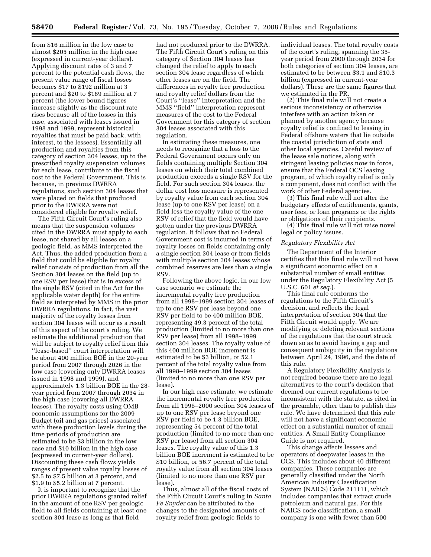from \$16 million in the low case to almost \$205 million in the high case (expressed in current-year dollars). Applying discount rates of 3 and 7 percent to the potential cash flows, the present value range of fiscal losses becomes \$17 to \$192 million at 3 percent and \$20 to \$189 million at 7 percent (the lower bound figures increase slightly as the discount rate rises because all of the losses in this case, associated with leases issued in 1998 and 1999, represent historical royalties that must be paid back, with interest, to the lessees). Essentially all production and royalties from this category of section 304 leases, up to the prescribed royalty suspension volumes for each lease, contribute to the fiscal cost to the Federal Government. This is because, in previous DWRRA regulations, such section 304 leases that were placed on fields that produced prior to the DWRRA were not considered eligible for royalty relief.

The Fifth Circuit Court's ruling also means that the suspension volumes cited in the DWRRA must apply to each lease, not shared by all leases on a geologic field, as MMS interpreted the Act. Thus, the added production from a field that could be eligible for royalty relief consists of production from all the Section 304 leases on the field (up to one RSV per lease) that is in excess of the single RSV (cited in the Act for the applicable water depth) for the entire field as interpreted by MMS in the prior DWRRA regulations. In fact, the vast majority of the royalty losses from section 304 leases will occur as a result of this aspect of the court's ruling. We estimate the additional production that will be subject to royalty relief from this ''lease-based'' court interpretation will be about 400 million BOE in the 20-year period from 2007 through 2026 in the low case (covering only DWRRA leases issued in 1998 and 1999), and approximately 1.3 billion BOE in the 28 year period from 2007 through 2034 in the high case (covering all DWRRA leases). The royalty costs using OMB economic assumptions for the 2009 Budget (oil and gas prices) associated with these production levels during the time periods of production are estimated to be \$3 billion in the low case and \$10 billion in the high case (expressed in current-year dollars). Discounting these cash flows yields ranges of present value royalty losses of \$2.5 to \$7.5 billion at 3 percent, and \$1.9 to \$5.2 billion at 7 percent.

It is important to recognize that the prior DWRRA regulations granted relief in the amount of one RSV per geologic field to all fields containing at least one section 304 lease as long as that field

had not produced prior to the DWRRA. The Fifth Circuit Court's ruling on this category of Section 304 leases has changed the relief to apply to each section 304 lease regardless of which other leases are on the field. The differences in royalty free production and royalty relief dollars from the Court's ''lease'' interpretation and the MMS ''field'' interpretation represent measures of the cost to the Federal Government for this category of section 304 leases associated with this regulation.

In estimating these measures, one needs to recognize that a loss to the Federal Government occurs only on fields containing multiple Section 304 leases on which their total combined production exceeds a single RSV for the field. For such section 304 leases, the dollar cost loss measure is represented by royalty value from each section 304 lease (up to one RSV per lease) on a field less the royalty value of the one RSV of relief that the field would have gotten under the previous DWRRA regulation. It follows that no Federal Government cost is incurred in terms of royalty losses on fields containing only a single section 304 lease or from fields with multiple section 304 leases whose combined reserves are less than a single RSV.

Following the above logic, in our low case scenario we estimate the incremental royalty free production from all 1998–1999 section 304 leases of up to one RSV per lease beyond one RSV per field to be 400 million BOE, representing 49.3 percent of the total production (limited to no more than one RSV per lease) from all 1998–1999 section 304 leases. The royalty value of this 400 million BOE increment is estimated to be \$3 billion, or 52.1 percent of the total royalty value from all 1998–1999 section 304 leases (limited to no more than one RSV per lease).

In our high case estimate, we estimate the incremental royalty free production from all 1996–2000 section 304 leases of up to one RSV per lease beyond one RSV per field to be 1.3 billion BOE, representing 54 percent of the total production (limited to no more than one RSV per lease) from all section 304 leases. The royalty value of this 1.3 billion BOE increment is estimated to be \$10 billion, or 56.7 percent of the total royalty value from all section 304 leases (limited to no more than one RSV per lease).

Thus, almost all of the fiscal costs of the Fifth Circuit Court's ruling in *Santa Fe Snyder* can be attributed to the changes to the designated amounts of royalty relief from geologic fields to

individual leases. The total royalty costs of the court's ruling, spanning the 35 year period from 2000 through 2034 for both categories of section 304 leases, are estimated to be between \$3.1 and \$10.3 billion (expressed in current-year dollars). These are the same figures that we estimated in the PR.

(2) This final rule will not create a serious inconsistency or otherwise interfere with an action taken or planned by another agency because royalty relief is confined to leasing in Federal offshore waters that lie outside the coastal jurisdiction of state and other local agencies. Careful review of the lease sale notices, along with stringent leasing policies now in force, ensure that the Federal OCS leasing program, of which royalty relief is only a component, does not conflict with the work of other Federal agencies.

(3) This final rule will not alter the budgetary effects of entitlements, grants, user fees, or loan programs or the rights or obligations of their recipients.

(4) This final rule will not raise novel legal or policy issues.

### *Regulatory Flexibility Act*

The Department of the Interior certifies that this final rule will not have a significant economic effect on a substantial number of small entities under the Regulatory Flexibility Act (5 U.S.C. 601 *et seq.*).

This final rule conforms the regulations to the Fifth Circuit's decision, and reflects the legal interpretation of section 304 that the Fifth Circuit would apply. We are modifying or deleting relevant sections of the regulations that the court struck down so as to avoid having a gap and consequent ambiguity in the regulations between April 24, 1996, and the date of this rule.

A Regulatory Flexibility Analysis is not required because there are no legal alternatives to the court's decision that deemed our current regulations to be inconsistent with the statute, as cited in the preamble, other than to publish this rule. We have determined that this rule will not have a significant economic effect on a substantial number of small entities. A Small Entity Compliance Guide is not required.

This change affects lessees and operators of deepwater leases in the OCS. This includes about 40 different companies. These companies are generally classified under the North American Industry Classification System (NAICS) Code 211111, which includes companies that extract crude petroleum and natural gas. For this NAICS code classification, a small company is one with fewer than 500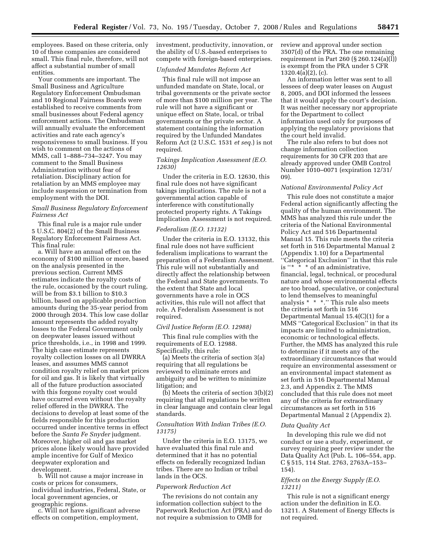employees. Based on these criteria, only 10 of these companies are considered small. This final rule, therefore, will not affect a substantial number of small entities.

Your comments are important. The Small Business and Agriculture Regulatory Enforcement Ombudsman and 10 Regional Fairness Boards were established to receive comments from small businesses about Federal agency enforcement actions. The Ombudsman will annually evaluate the enforcement activities and rate each agency's responsiveness to small business. If you wish to comment on the actions of MMS, call 1–888–734–3247. You may comment to the Small Business Administration without fear of retaliation. Disciplinary action for retaliation by an MMS employee may include suspension or termination from employment with the DOI.

# *Small Business Regulatory Enforcement Fairness Act*

This final rule is a major rule under 5 U.S.C. 804(2) of the Small Business Regulatory Enforcement Fairness Act. This final rule:

a. Will have an annual effect on the economy of \$100 million or more, based on the analysis presented in the previous section. Current MMS estimates indicate the royalty costs of the rule, occasioned by the court ruling, will be from \$3.1 billion to \$10.3 billion, based on applicable production amounts during the 35-year period from 2000 through 2034. This low case dollar amount represents the added royalty losses to the Federal Government only on deepwater leases issued without price thresholds, i.e., in 1998 and 1999. The high case estimate represents royalty collection losses on all DWRRA leases, and assumes MMS cannot condition royalty relief on market prices for oil and gas. It is likely that virtually all of the future production associated with this forgone royalty cost would have occurred even without the royalty relief offered in the DWRRA. The decisions to develop at least some of the fields responsible for this production occurred under incentive terms in effect before the *Santa Fe Snyder* judgment. Moreover, higher oil and gas market prices alone likely would have provided ample incentive for Gulf of Mexico deepwater exploration and development.

b. Will not cause a major increase in costs or prices for consumers, individual industries, Federal, State, or local government agencies, or geographic regions.

c. Will not have significant adverse effects on competition, employment,

investment, productivity, innovation, or the ability of U.S.-based enterprises to compete with foreign-based enterprises.

### *Unfunded Mandates Reform Act*

This final rule will not impose an unfunded mandate on State, local, or tribal governments or the private sector of more than \$100 million per year. The rule will not have a significant or unique effect on State, local, or tribal governments or the private sector. A statement containing the information required by the Unfunded Mandates Reform Act (2 U.S.C. 1531 *et seq.*) is not required.

### *Takings Implication Assessment (E.O. 12630)*

Under the criteria in E.O. 12630, this final rule does not have significant takings implications. The rule is not a governmental action capable of interference with constitutionally protected property rights. A Takings Implication Assessment is not required.

### *Federalism (E.O. 13132)*

Under the criteria in E.O. 13132, this final rule does not have sufficient federalism implications to warrant the preparation of a Federalism Assessment. This rule will not substantially and directly affect the relationship between the Federal and State governments. To the extent that State and local governments have a role in OCS activities, this rule will not affect that role. A Federalism Assessment is not required.

### *Civil Justice Reform (E.O. 12988)*

This final rule complies with the requirements of E.O. 12988. Specifically, this rule:

(a) Meets the criteria of section 3(a) requiring that all regulations be reviewed to eliminate errors and ambiguity and be written to minimize litigation; and

(b) Meets the criteria of section 3(b)(2) requiring that all regulations be written in clear language and contain clear legal standards.

# *Consultation With Indian Tribes (E.O. 13175)*

Under the criteria in E.O. 13175, we have evaluated this final rule and determined that it has no potential effects on federally recognized Indian tribes. There are no Indian or tribal lands in the OCS.

#### *Paperwork Reduction Act*

The revisions do not contain any information collection subject to the Paperwork Reduction Act (PRA) and do not require a submission to OMB for

review and approval under section 3507(d) of the PRA. The one remaining requirement in Part 260 (§ 260.124(a)(l)) is exempt from the PRA under 5 CFR 1320.4(a)(2), (c).

An information letter was sent to all lessees of deep water leases on August 8, 2005, and DOI informed the lessees that it would apply the court's decision. It was neither necessary nor appropriate for the Department to collect information used only for purposes of applying the regulatory provisions that the court held invalid.

The rule also refers to but does not change information collection requirements for 30 CFR 203 that are already approved under OMB Control Number 1010–0071 (expiration 12/31/ 09).

### *National Environmental Policy Act*

This rule does not constitute a major Federal action significantly affecting the quality of the human environment. The MMS has analyzed this rule under the criteria of the National Environmental Policy Act and 516 Departmental Manual 15. This rule meets the criteria set forth in 516 Departmental Manual 2 (Appendix 1.10) for a Departmental ''Categorical Exclusion'' in that this rule is ''\* \* \* of an administrative, financial, legal, technical, or procedural nature and whose environmental effects are too broad, speculative, or conjectural to lend themselves to meaningful analysis \* \* \*.'' This rule also meets the criteria set forth in 516 Departmental Manual 15.4(C)(1) for a MMS ''Categorical Exclusion'' in that its impacts are limited to administration, economic or technological effects. Further, the MMS has analyzed this rule to determine if it meets any of the extraordinary circumstances that would require an environmental assessment or an environmental impact statement as set forth in 516 Departmental Manual 2.3, and Appendix 2. The MMS concluded that this rule does not meet any of the criteria for extraordinary circumstances as set forth in 516 Departmental Manual 2 (Appendix 2).

## *Data Quality Act*

In developing this rule we did not conduct or use a study, experiment, or survey requiring peer review under the Data Quality Act (Pub. L. 106–554, app. C § 515, 114 Stat. 2763, 2763A–153– 154).

# *Effects on the Energy Supply (E.O. 13211)*

This rule is not a significant energy action under the definition in E.O. 13211. A Statement of Energy Effects is not required.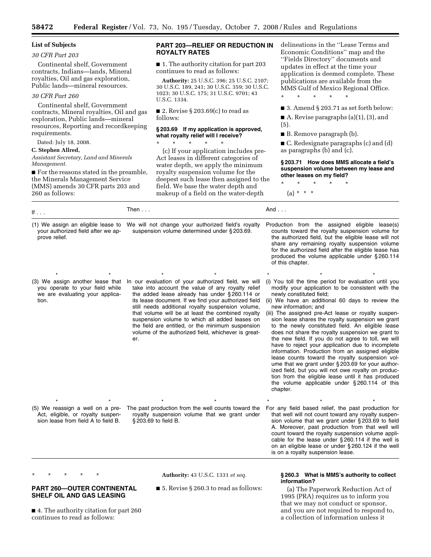# **List of Subjects**

### *30 CFR Part 203*

Continental shelf, Government contracts, Indians—lands, Mineral royalties, Oil and gas exploration, Public lands—mineral resources.

# *30 CFR Part 260*

Continental shelf, Government contracts, Mineral royalties, Oil and gas exploration, Public lands—mineral resources, Reporting and recordkeeping requirements.

Dated: July 18, 2008.

### **C. Stephen Allred,**

*Assistant Secretary, Land and Minerals Management.* 

■ For the reasons stated in the preamble, the Minerals Management Service (MMS) amends 30 CFR parts 203 and 260 as follows:

# **PART 203—RELIEF OR REDUCTION IN ROYALTY RATES**

■ 1. The authority citation for part 203 continues to read as follows:

**Authority:** 25 U.S.C. 396; 25 U.S.C. 2107; 30 U.S.C. 189, 241; 30 U.S.C. 359; 30 U.S.C. 1023; 30 U.S.C. 175; 31 U.S.C. 9701; 43 U.S.C. 1334.

■ 2. Revise § 203.69 $(c)$  to read as follows:

# **§ 203.69 If my application is approved, what royalty relief will I receive?**

\* \* \* \* \* (c) If your application includes pre-Act leases in different categories of water depth, we apply the minimum royalty suspension volume for the deepest such lease then assigned to the field. We base the water depth and

makeup of a field on the water-depth

delineations in the ''Lease Terms and Economic Conditions'' map and the ''Fields Directory'' documents and updates in effect at the time your application is deemed complete. These publications are available from the MMS Gulf of Mexico Regional Office.

\* \* \* \* \*

■ 3. Amend § 203.71 as set forth below:

■ A. Revise paragraphs (a)(1), (3), and (5).

■ B. Remove paragraph (b).

■ C. Redesignate paragraphs (c) and (d) as paragraphs (b) and (c).

**§ 203.71 How does MMS allocate a field's suspension volume between my lease and other leases on my field?** 

\* \* \* \* \*

 $(a) * * * *$ 

| If $\ldots$                                                                                                     | Then $\ldots$                                                                                                                                                                                                                                                                                                                                                                                                                                                                                    | And $\ldots$                                                                                                                                                                                                                                                                                                                                                                                                                                                                                                                                                                                                                                                                                                                                                                                                                                                                              |
|-----------------------------------------------------------------------------------------------------------------|--------------------------------------------------------------------------------------------------------------------------------------------------------------------------------------------------------------------------------------------------------------------------------------------------------------------------------------------------------------------------------------------------------------------------------------------------------------------------------------------------|-------------------------------------------------------------------------------------------------------------------------------------------------------------------------------------------------------------------------------------------------------------------------------------------------------------------------------------------------------------------------------------------------------------------------------------------------------------------------------------------------------------------------------------------------------------------------------------------------------------------------------------------------------------------------------------------------------------------------------------------------------------------------------------------------------------------------------------------------------------------------------------------|
| (1) We assign an eligible lease to<br>your authorized field after we ap-<br>prove relief.                       | We will not change your authorized field's royalty<br>suspension volume determined under §203.69.                                                                                                                                                                                                                                                                                                                                                                                                | Production from the assigned eligible lease(s)<br>counts toward the royalty suspension volume for<br>the authorized field, but the eligible lease will not<br>share any remaining royalty suspension volume<br>for the authorized field after the eligible lease has<br>produced the volume applicable under §260.114<br>of this chapter.                                                                                                                                                                                                                                                                                                                                                                                                                                                                                                                                                 |
|                                                                                                                 |                                                                                                                                                                                                                                                                                                                                                                                                                                                                                                  |                                                                                                                                                                                                                                                                                                                                                                                                                                                                                                                                                                                                                                                                                                                                                                                                                                                                                           |
| (3) We assign another lease that<br>you operate to your field while<br>we are evaluating your applica-<br>tion. | In our evaluation of your authorized field, we will<br>take into account the value of any royalty relief<br>the added lease already has under §260.114 or<br>its lease document. If we find your authorized field<br>still needs additional royalty suspension volume,<br>that volume will be at least the combined royalty<br>suspension volume to which all added leases on<br>the field are entitled, or the minimum suspension<br>volume of the authorized field, whichever is great-<br>er. | (i) You toll the time period for evaluation until you<br>modify your application to be consistent with the<br>newly constituted field;<br>(ii) We have an additional 60 days to review the<br>new information; and<br>(iii) The assigned pre-Act lease or royalty suspen-<br>sion lease shares the royalty suspension we grant<br>to the newly constituted field. An eligible lease<br>does not share the royalty suspension we grant to<br>the new field. If you do not agree to toll, we will<br>have to reject your application due to incomplete<br>information. Production from an assigned eligible<br>lease counts toward the royalty suspension vol-<br>ume that we grant under §203.69 for your author-<br>ized field, but you will not owe royalty on produc-<br>tion from the eligible lease until it has produced<br>the volume applicable under §260.114 of this<br>chapter. |
|                                                                                                                 |                                                                                                                                                                                                                                                                                                                                                                                                                                                                                                  |                                                                                                                                                                                                                                                                                                                                                                                                                                                                                                                                                                                                                                                                                                                                                                                                                                                                                           |
| (5) We reassign a well on a pre-<br>Act, eligible, or royalty suspen-<br>sion lease from field A to field B.    | The past production from the well counts toward the<br>royalty suspension volume that we grant under<br>§ 203.69 to field B.                                                                                                                                                                                                                                                                                                                                                                     | For any field based relief, the past production for<br>that well will not count toward any royalty suspen-<br>sion volume that we grant under §203.69 to field<br>A. Moreover, past production from that well will<br>count toward the royalty suspension volume appli-<br>cable for the lease under §260.114 if the well is<br>on an eligible lease or under §260.124 if the well<br>is on a royalty suspension lease.                                                                                                                                                                                                                                                                                                                                                                                                                                                                   |

\* \* \* \* \* **PART 260—OUTER CONTINENTAL**  **Authority:** 43 U.S.C. 1331 *et seq.* 

■ 5. Revise § 260.3 to read as follows:

# **§ 260.3 What is MMS's authority to collect information?**

(a) The Paperwork Reduction Act of 1995 (PRA) requires us to inform you that we may not conduct or sponsor, and you are not required to respond to, a collection of information unless it

■ 4. The authority citation for part 260 continues to read as follows:

**SHELF OIL AND GAS LEASING**